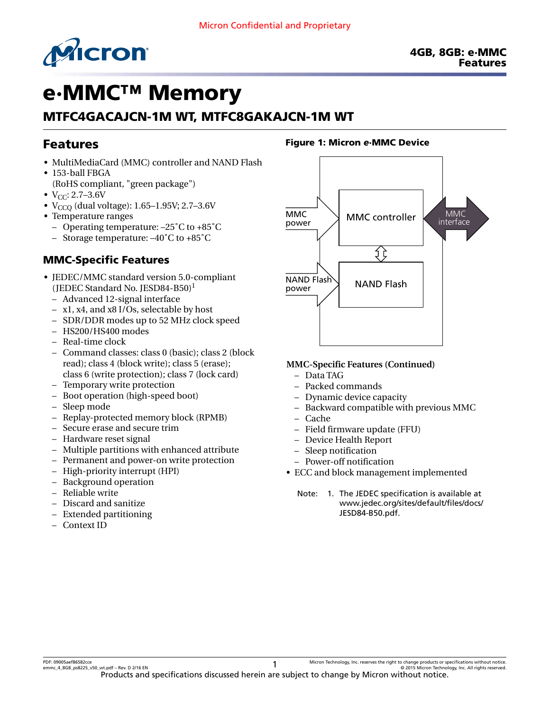

# e·MMC™ Memory

# MTFC4GACAJCN-1M WT, MTFC8GAKAJCN-1M WT

# Features

- MultiMediaCard (MMC) controller and NAND Flash
- 153-ball FBGA (RoHS compliant, "green package")
- $V_{CC}$ : 2.7–3.6V
- V<sub>CCO</sub> (dual voltage): 1.65-1.95V; 2.7-3.6V
- Temperature ranges
	- Operating temperature: –25˚C to +85˚C
	- Storage temperature: –40˚C to +85˚C

### MMC-Specific Features

- JEDEC/MMC standard version 5.0-compliant (JEDEC Standard No. JESD84-B50)<sup>1</sup>
	- Advanced 12-signal interface
	- x1, x4, and x8 I/Os, selectable by host
	- SDR/DDR modes up to 52 MHz clock speed
	- HS200/HS400 modes
	- Real-time clock
	- Command classes: class 0 (basic); class 2 (block read); class 4 (block write); class 5 (erase); class 6 (write protection); class 7 (lock card)
	- Temporary write protection
	- Boot operation (high-speed boot)
	- Sleep mode
	- Replay-protected memory block (RPMB)
	- Secure erase and secure trim
	- Hardware reset signal
	- Multiple partitions with enhanced attribute
	- Permanent and power-on write protection
	- High-priority interrupt (HPI)
	- Background operation
	- Reliable write
	- Discard and sanitize
	- Extended partitioning
	- Context ID

#### Figure 1: Micron *e*·MMC Device



#### **MMC-Specific Features (Continued)**

- Data TAG
- Packed commands
- Dynamic device capacity
- Backward compatible with previous MMC
- Cache
- Field firmware update (FFU)
- Device Health Report
- Sleep notification
- Power-off notification
- ECC and block management implemented
	- Note: 1. The JEDEC specification is available at [www.jedec.org/sites/default/files/docs/](http://www.jedec.org/sites/default/files/docs/JESD84-B50.pdf) [JESD84-B50.pdf](http://www.jedec.org/sites/default/files/docs/JESD84-B50.pdf).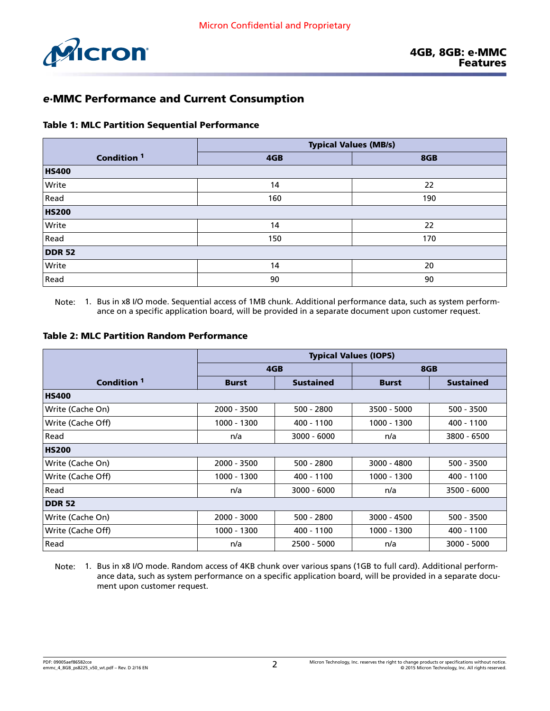

### *e*·MMC Performance and Current Consumption

#### Table 1: MLC Partition Sequential Performance

|                        | <b>Typical Values (MB/s)</b> |     |  |  |
|------------------------|------------------------------|-----|--|--|
| Condition <sup>1</sup> | 4GB                          | 8GB |  |  |
| <b>HS400</b>           |                              |     |  |  |
| Write                  | 14                           | 22  |  |  |
| Read                   | 160                          | 190 |  |  |
| <b>HS200</b>           |                              |     |  |  |
| Write                  | 14                           | 22  |  |  |
| Read                   | 150                          | 170 |  |  |
| <b>DDR 52</b>          |                              |     |  |  |
| Write                  | 14                           | 20  |  |  |
| Read                   | 90                           | 90  |  |  |

Note: 1. Bus in x8 I/O mode. Sequential access of 1MB chunk. Additional performance data, such as system performance on a specific application board, will be provided in a separate document upon customer request.

#### Table 2: MLC Partition Random Performance

|                        | <b>Typical Values (IOPS)</b> |                  |              |                  |  |  |
|------------------------|------------------------------|------------------|--------------|------------------|--|--|
|                        |                              | 4GB              |              | 8GB              |  |  |
| Condition <sup>1</sup> | <b>Burst</b>                 | <b>Sustained</b> | <b>Burst</b> | <b>Sustained</b> |  |  |
| <b>HS400</b>           |                              |                  |              |                  |  |  |
| Write (Cache On)       | 2000 - 3500                  | $500 - 2800$     | 3500 - 5000  | $500 - 3500$     |  |  |
| Write (Cache Off)      | 1000 - 1300                  | 400 - 1100       | 1000 - 1300  | 400 - 1100       |  |  |
| Read                   | n/a                          | $3000 - 6000$    | n/a          | 3800 - 6500      |  |  |
| <b>HS200</b>           |                              |                  |              |                  |  |  |
| Write (Cache On)       | 2000 - 3500                  | $500 - 2800$     | 3000 - 4800  | $500 - 3500$     |  |  |
| Write (Cache Off)      | 1000 - 1300                  | 400 - 1100       | 1000 - 1300  | 400 - 1100       |  |  |
| Read                   | n/a                          | $3000 - 6000$    | n/a          | 3500 - 6000      |  |  |
| <b>DDR 52</b>          |                              |                  |              |                  |  |  |
| Write (Cache On)       | 2000 - 3000                  | $500 - 2800$     | 3000 - 4500  | 500 - 3500       |  |  |
| Write (Cache Off)      | 1000 - 1300                  | 400 - 1100       | 1000 - 1300  | 400 - 1100       |  |  |
| Read                   | n/a                          | 2500 - 5000      | n/a          | 3000 - 5000      |  |  |

Note: 1. Bus in x8 I/O mode. Random access of 4KB chunk over various spans (1GB to full card). Additional performance data, such as system performance on a specific application board, will be provided in a separate document upon customer request.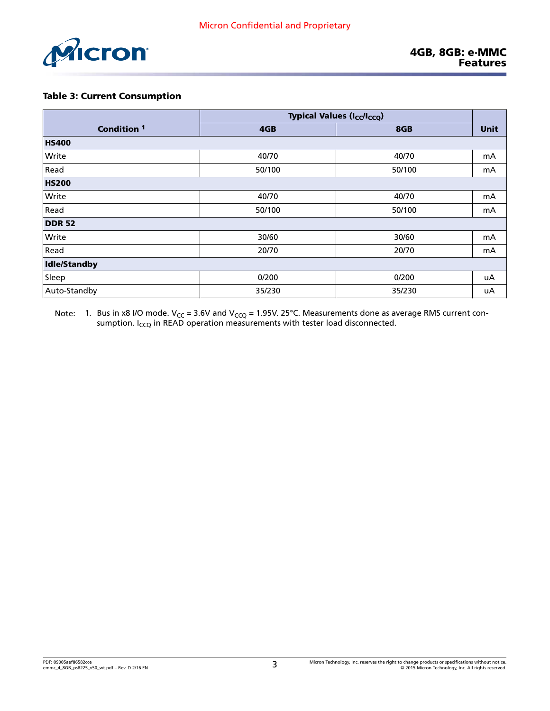

#### Table 3: Current Consumption

|                        | <b>Typical Values (I<sub>CC</sub>/I<sub>CCQ</sub>)</b> |        |             |
|------------------------|--------------------------------------------------------|--------|-------------|
| Condition <sup>1</sup> | 4GB                                                    | 8GB    | <b>Unit</b> |
| <b>HS400</b>           |                                                        |        |             |
| Write                  | 40/70                                                  | 40/70  | mA          |
| Read                   | 50/100                                                 | 50/100 | mA          |
| <b>HS200</b>           |                                                        |        |             |
| Write                  | 40/70                                                  | 40/70  | mA          |
| Read                   | 50/100                                                 | 50/100 | mA          |
| <b>DDR 52</b>          |                                                        |        |             |
| Write                  | 30/60                                                  | 30/60  | mA          |
| Read                   | 20/70                                                  | 20/70  | mA          |
| Idle/Standby           |                                                        |        |             |
| Sleep                  | 0/200                                                  | 0/200  | uA          |
| Auto-Standby           | 35/230                                                 | 35/230 | uA          |

Note:  $\:$  1. Bus in x8 I/O mode. V<sub>CC</sub> = 3.6V and V<sub>CCQ</sub> = 1.95V. 25°C. Measurements done as average RMS current consumption. I<sub>CCQ</sub> in READ operation measurements with tester load disconnected.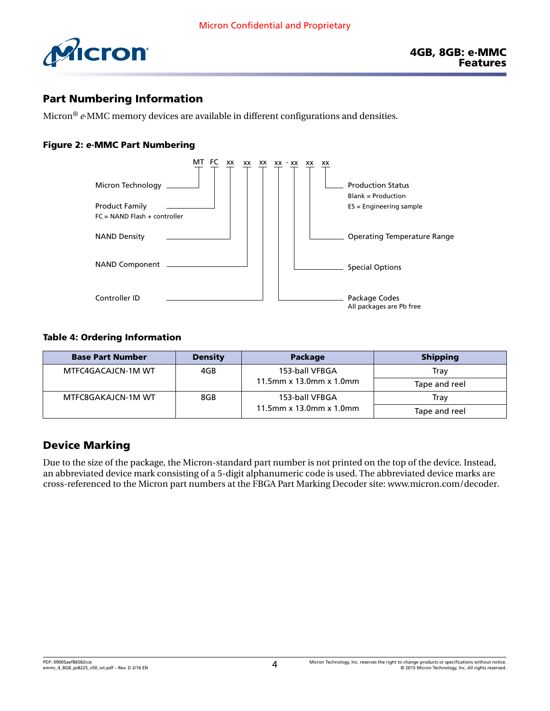

### Part Numbering Information

Micron® *e*·MMC memory devices are available in different configurations and densities.

#### Figure 2: *e*·MMC Part Numbering



#### Table 4: Ordering Information

| <b>Base Part Number</b> | <b>Density</b> | <b>Package</b>          | <b>Shipping</b> |
|-------------------------|----------------|-------------------------|-----------------|
| MTFC4GACAJCN-1M WT      | 4GB            | 153-ball VFBGA          | Trav            |
|                         |                | 11.5mm x 13.0mm x 1.0mm | Tape and reel   |
| MTFC8GAKAJCN-1M WT      | 8GB            | 153-ball VFBGA          | Trav            |
|                         |                | 11.5mm x 13.0mm x 1.0mm | Tape and reel   |

### Device Marking

Due to the size of the package, the Micron-standard part number is not printed on the top of the device. Instead, an abbreviated device mark consisting of a 5-digit alphanumeric code is used. The abbreviated device marks are cross-referenced to the Micron part numbers at the FBGA Part Marking Decoder site: [www.micron.com/decoder.](http://www.micron.com/decoder)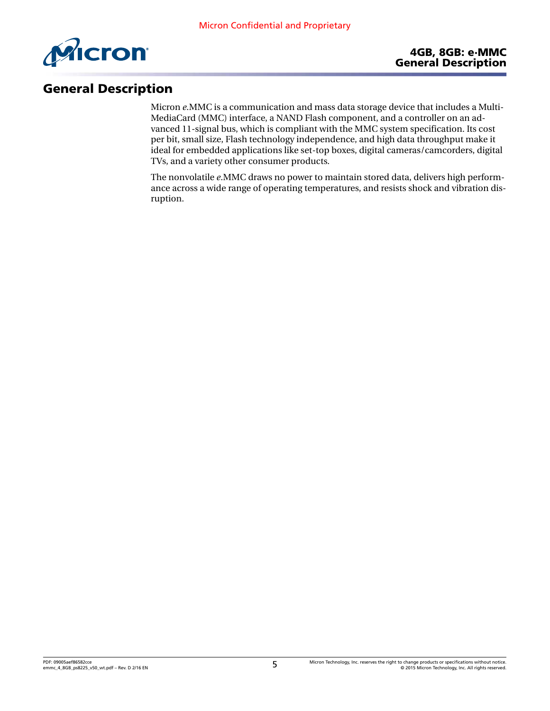

# General Description

Micron *e*.MMC is a communication and mass data storage device that includes a Multi-MediaCard (MMC) interface, a NAND Flash component, and a controller on an advanced 11-signal bus, which is compliant with the MMC system specification. Its cost per bit, small size, Flash technology independence, and high data throughput make it ideal for embedded applications like set-top boxes, digital cameras/camcorders, digital TVs, and a variety other consumer products.

The nonvolatile *e*.MMC draws no power to maintain stored data, delivers high performance across a wide range of operating temperatures, and resists shock and vibration disruption.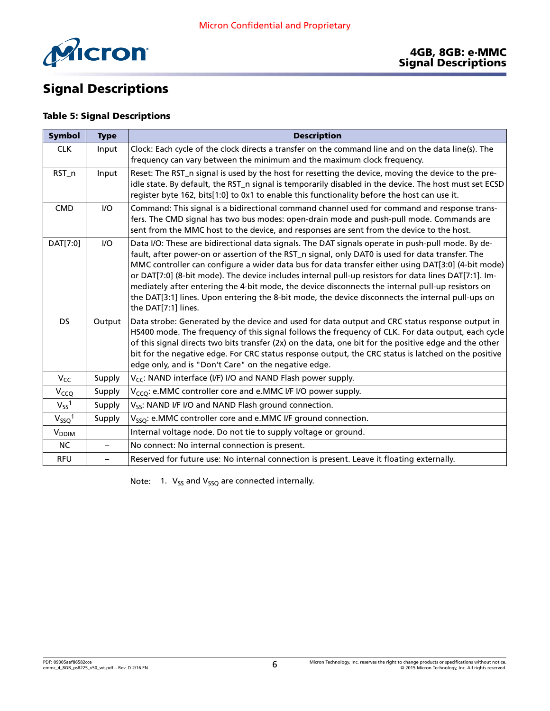

# Signal Descriptions

### Table 5: Signal Descriptions

| Symbol                   | <b>Type</b>              | <b>Description</b>                                                                                                                                                                                                                                                                                                                                                                                                                                                                                                                                                                                                                                    |
|--------------------------|--------------------------|-------------------------------------------------------------------------------------------------------------------------------------------------------------------------------------------------------------------------------------------------------------------------------------------------------------------------------------------------------------------------------------------------------------------------------------------------------------------------------------------------------------------------------------------------------------------------------------------------------------------------------------------------------|
| <b>CLK</b>               | Input                    | Clock: Each cycle of the clock directs a transfer on the command line and on the data line(s). The<br>frequency can vary between the minimum and the maximum clock frequency.                                                                                                                                                                                                                                                                                                                                                                                                                                                                         |
| RST_n                    | Input                    | Reset: The RST_n signal is used by the host for resetting the device, moving the device to the pre-<br>idle state. By default, the RST_n signal is temporarily disabled in the device. The host must set ECSD<br>register byte 162, bits[1:0] to 0x1 to enable this functionality before the host can use it.                                                                                                                                                                                                                                                                                                                                         |
| <b>CMD</b>               | I/O                      | Command: This signal is a bidirectional command channel used for command and response trans-<br>fers. The CMD signal has two bus modes: open-drain mode and push-pull mode. Commands are<br>sent from the MMC host to the device, and responses are sent from the device to the host.                                                                                                                                                                                                                                                                                                                                                                 |
| DAT[7:0]                 | I/O                      | Data I/O: These are bidirectional data signals. The DAT signals operate in push-pull mode. By de-<br>fault, after power-on or assertion of the RST_n signal, only DAT0 is used for data transfer. The<br>MMC controller can configure a wider data bus for data transfer either using DAT[3:0] (4-bit mode)<br>or DAT[7:0] (8-bit mode). The device includes internal pull-up resistors for data lines DAT[7:1]. Im-<br>mediately after entering the 4-bit mode, the device disconnects the internal pull-up resistors on<br>the DAT[3:1] lines. Upon entering the 8-bit mode, the device disconnects the internal pull-ups on<br>the DAT[7:1] lines. |
| <b>DS</b>                | Output                   | Data strobe: Generated by the device and used for data output and CRC status response output in<br>HS400 mode. The frequency of this signal follows the frequency of CLK. For data output, each cycle<br>of this signal directs two bits transfer (2x) on the data, one bit for the positive edge and the other<br>bit for the negative edge. For CRC status response output, the CRC status is latched on the positive<br>edge only, and is "Don't Care" on the negative edge.                                                                                                                                                                       |
| $V_{CC}$                 | Supply                   | V <sub>CC</sub> : NAND interface (I/F) I/O and NAND Flash power supply.                                                                                                                                                                                                                                                                                                                                                                                                                                                                                                                                                                               |
| V <sub>CCQ</sub>         | Supply                   | V <sub>CCO</sub> : e.MMC controller core and e.MMC I/F I/O power supply.                                                                                                                                                                                                                                                                                                                                                                                                                                                                                                                                                                              |
| $V_{SS}$ <sup>1</sup>    | Supply                   | V <sub>SS</sub> : NAND I/F I/O and NAND Flash ground connection.                                                                                                                                                                                                                                                                                                                                                                                                                                                                                                                                                                                      |
| $V_{SSQ}$ <sup>1</sup>   | Supply                   | V <sub>SSO</sub> : e.MMC controller core and e.MMC I/F ground connection.                                                                                                                                                                                                                                                                                                                                                                                                                                                                                                                                                                             |
| <b>V</b> <sub>DDIM</sub> |                          | Internal voltage node. Do not tie to supply voltage or ground.                                                                                                                                                                                                                                                                                                                                                                                                                                                                                                                                                                                        |
| NC.                      | $\qquad \qquad -$        | No connect: No internal connection is present.                                                                                                                                                                                                                                                                                                                                                                                                                                                                                                                                                                                                        |
| <b>RFU</b>               | $\overline{\phantom{0}}$ | Reserved for future use: No internal connection is present. Leave it floating externally.                                                                                                                                                                                                                                                                                                                                                                                                                                                                                                                                                             |

Note: 1.  $V_{SS}$  and  $V_{SSQ}$  are connected internally.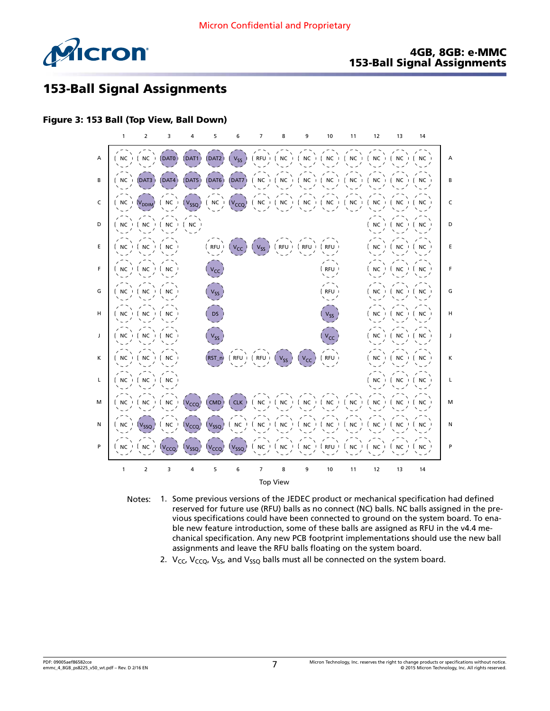

#### 4GB, 8GB: e·MMC 153-Ball Signal Assignments

# 153-Ball Signal Assignments

#### Figure 3: 153 Ball (Top View, Ball Down)



- Notes: 1. Some previous versions of the JEDEC product or mechanical specification had defined reserved for future use (RFU) balls as no connect (NC) balls. NC balls assigned in the previous specifications could have been connected to ground on the system board. To enable new feature introduction, some of these balls are assigned as RFU in the v4.4 mechanical specification. Any new PCB footprint implementations should use the new ball assignments and leave the RFU balls floating on the system board.
	- 2.  $V_{CC}$ ,  $V_{CCO}$ ,  $V_{SS}$ , and  $V_{SSO}$  balls must all be connected on the system board.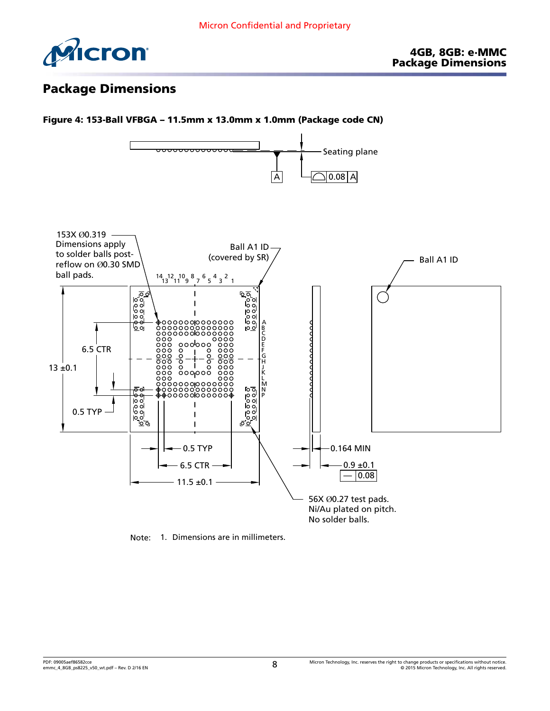

# Package Dimensions



Note: 1. Dimensions are in millimeters.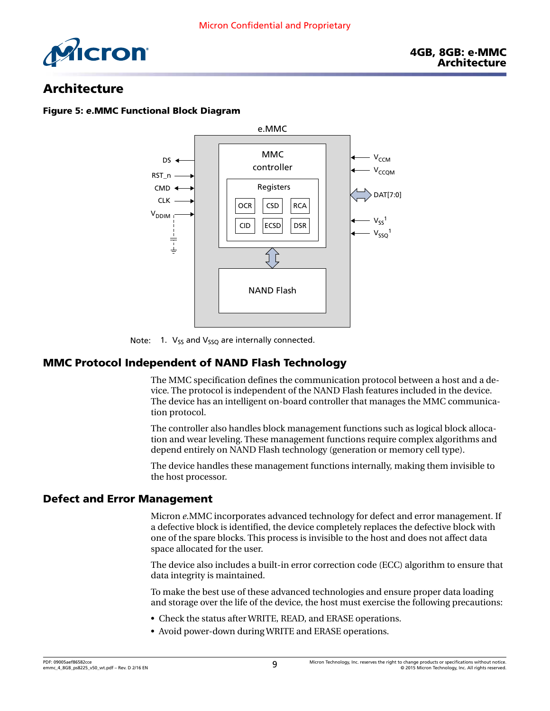

## Architecture

#### Figure 5: *e*.MMC Functional Block Diagram



Note: 1.  $V_{SS}$  and  $V_{SSQ}$  are internally connected.

### MMC Protocol Independent of NAND Flash Technology

The MMC specification defines the communication protocol between a host and a device. The protocol is independent of the NAND Flash features included in the device. The device has an intelligent on-board controller that manages the MMC communication protocol.

The controller also handles block management functions such as logical block allocation and wear leveling. These management functions require complex algorithms and depend entirely on NAND Flash technology (generation or memory cell type).

The device handles these management functions internally, making them invisible to the host processor.

#### Defect and Error Management

Micron *e*.MMC incorporates advanced technology for defect and error management. If a defective block is identified, the device completely replaces the defective block with one of the spare blocks. This process is invisible to the host and does not affect data space allocated for the user.

The device also includes a built-in error correction code (ECC) algorithm to ensure that data integrity is maintained.

To make the best use of these advanced technologies and ensure proper data loading and storage over the life of the device, the host must exercise the following precautions:

- Check the status after WRITE, READ, and ERASE operations.
- Avoid power-down during WRITE and ERASE operations.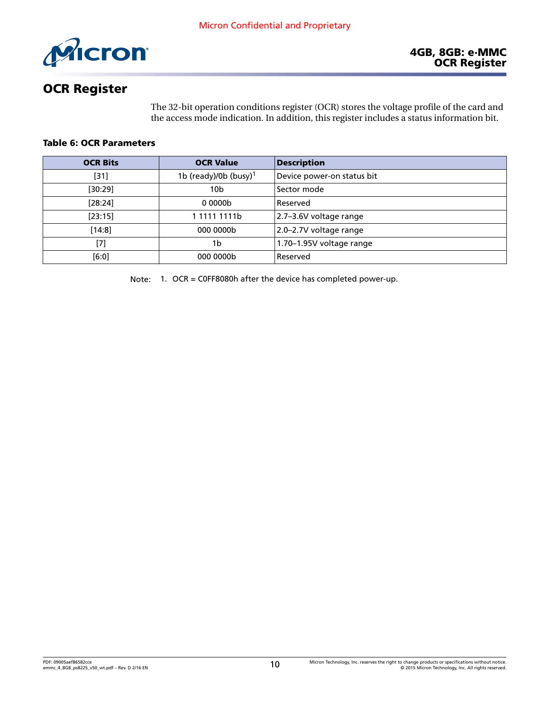

# OCR Register

The 32-bit operation conditions register (OCR) stores the voltage profile of the card and the access mode indication. In addition, this register includes a status information bit.

#### Table 6: OCR Parameters

| <b>OCR Bits</b> | <b>OCR Value</b>                  | <b>Description</b>          |
|-----------------|-----------------------------------|-----------------------------|
| $[31]$          | 1b (ready)/0b (busy) <sup>1</sup> | Device power-on status bit  |
| [30:29]         | 10b                               | Sector mode                 |
| [28:24]         | 00000 <sub>b</sub>                | Reserved                    |
| [23:15]         | 1 1111 1111b                      | 2.7-3.6V voltage range      |
| $[14:8]$        | 000 0000b                         | $ 2.0 - 2.7V$ voltage range |
| [7]             | 1b                                | 1.70-1.95V voltage range    |
| [6:0]           | 000 0000b                         | Reserved                    |

Note: 1. OCR = C0FF8080h after the device has completed power-up.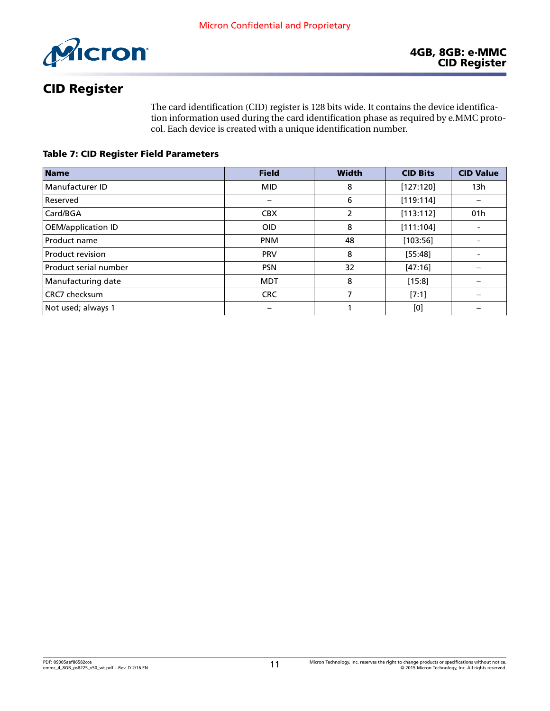

# CID Register

The card identification (CID) register is 128 bits wide. It contains the device identification information used during the card identification phase as required by e.MMC protocol. Each device is created with a unique identification number.

Table 7: CID Register Field Parameters

| <b>Name</b>             | <b>Field</b> | <b>Width</b> | <b>CID Bits</b> | <b>CID Value</b>         |
|-------------------------|--------------|--------------|-----------------|--------------------------|
| Manufacturer ID         | <b>MID</b>   | 8            | [127:120]       | 13h                      |
| Reserved                |              | 6            | [119:114]       |                          |
| Card/BGA                | <b>CBX</b>   | 2            | [113:112]       | 01 <sub>h</sub>          |
| OEM/application ID      | <b>OID</b>   | 8            | [111:104]       |                          |
| Product name            | <b>PNM</b>   | 48           | [103:56]        | $\overline{\phantom{a}}$ |
| <b>Product revision</b> | <b>PRV</b>   | 8            | [55:48]         |                          |
| Product serial number   | <b>PSN</b>   | 32           | [47:16]         |                          |
| Manufacturing date      | <b>MDT</b>   | 8            | [15:8]          |                          |
| CRC7 checksum           | <b>CRC</b>   | 7            | [7:1]           |                          |
| Not used; always 1      |              |              | [0]             |                          |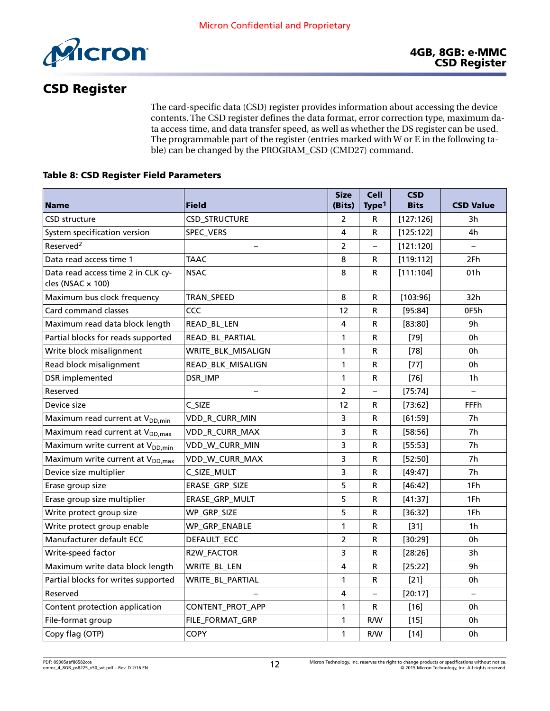

# CSD Register

The card-specific data (CSD) register provides information about accessing the device contents. The CSD register defines the data format, error correction type, maximum data access time, and data transfer speed, as well as whether the DS register can be used. The programmable part of the register (entries marked with W or E in the following table) can be changed by the PROGRAM\_CSD (CMD27) command.

#### Table 8: CSD Register Field Parameters

|                                                                |                       | <b>Size</b>    | <b>Cell</b>              | <b>CSD</b>  |                          |
|----------------------------------------------------------------|-----------------------|----------------|--------------------------|-------------|--------------------------|
| <b>Name</b>                                                    | <b>Field</b>          | (Bits)         | Type <sup>1</sup>        | <b>Bits</b> | <b>CSD Value</b>         |
| <b>CSD structure</b>                                           | <b>CSD_STRUCTURE</b>  | $\overline{2}$ | R                        | [127:126]   | 3h                       |
| System specification version                                   | SPEC_VERS             | 4              | R                        | [125:122]   | 4h                       |
| Reserved <sup>2</sup>                                          |                       | 2              | $\overline{\phantom{0}}$ | [121:120]   | $\overline{\phantom{0}}$ |
| Data read access time 1                                        | <b>TAAC</b>           | 8              | R                        | [119:112]   | 2Fh                      |
| Data read access time 2 in CLK cy-<br>cles (NSAC $\times$ 100) | <b>NSAC</b>           | 8              | R                        | [111:104]   | 01 <sub>h</sub>          |
| Maximum bus clock frequency                                    | TRAN_SPEED            | 8              | R                        | [103:96]    | 32h                      |
| Card command classes                                           | CCC                   | 12             | R                        | [95:84]     | 0F5h                     |
| Maximum read data block length                                 | READ_BL_LEN           | 4              | R                        | [83:80]     | 9h                       |
| Partial blocks for reads supported                             | READ_BL_PARTIAL       | 1              | R                        | $[79]$      | 0h                       |
| Write block misalignment                                       | WRITE_BLK_MISALIGN    | $\mathbf{1}$   | R                        | $[78]$      | 0h                       |
| Read block misalignment                                        | READ_BLK_MISALIGN     | 1              | R                        | $[77]$      | 0h                       |
| DSR implemented                                                | DSR_IMP               | 1              | R                        | $[76]$      | 1 <sub>h</sub>           |
| Reserved                                                       |                       | $\overline{2}$ | $\overline{\phantom{0}}$ | [75:74]     |                          |
| Device size                                                    | C_SIZE                | 12             | R                        | [73:62]     | <b>FFFh</b>              |
| Maximum read current at V <sub>DD,min</sub>                    | VDD_R_CURR_MIN        | 3              | R                        | [61:59]     | 7h                       |
| Maximum read current at V <sub>DD.max</sub>                    | VDD_R_CURR_MAX        | 3              | R                        | [58:56]     | 7h                       |
| Maximum write current at V <sub>DD,min</sub>                   | VDD_W_CURR_MIN        | 3              | R                        | [55:53]     | 7h                       |
| Maximum write current at V <sub>DD, max</sub>                  | VDD_W_CURR_MAX        | 3              | R                        | [52:50]     | 7h                       |
| Device size multiplier                                         | C_SIZE_MULT           | 3              | R                        | $[49:47]$   | 7h                       |
| Erase group size                                               | ERASE_GRP_SIZE        | 5              | R                        | [46:42]     | 1Fh                      |
| Erase group size multiplier                                    | <b>ERASE GRP MULT</b> | 5              | R                        | [41:37]     | 1Fh                      |
| Write protect group size                                       | WP_GRP_SIZE           | 5              | R                        | [36:32]     | 1Fh                      |
| Write protect group enable                                     | WP_GRP_ENABLE         | $\mathbf{1}$   | R                        | $[31]$      | 1 <sub>h</sub>           |
| Manufacturer default ECC                                       | DEFAULT_ECC           | $\overline{2}$ | R                        | [30:29]     | 0h                       |
| Write-speed factor                                             | R2W_FACTOR            | 3              | R                        | [28:26]     | 3h                       |
| Maximum write data block length                                | WRITE_BL_LEN          | 4              | R                        | [25:22]     | 9h                       |
| Partial blocks for writes supported                            | WRITE_BL_PARTIAL      | $\mathbf{1}$   | R                        | $[21]$      | 0h                       |
| Reserved                                                       |                       | 4              | $\overline{\phantom{0}}$ | [20:17]     |                          |
| Content protection application                                 | CONTENT_PROT_APP      | 1              | R                        | $[16]$      | 0h                       |
| File-format group                                              | FILE_FORMAT_GRP       | 1              | R/W                      | $[15]$      | 0h                       |
| Copy flag (OTP)                                                | <b>COPY</b>           | 1              | R/W                      | $[14]$      | 0h                       |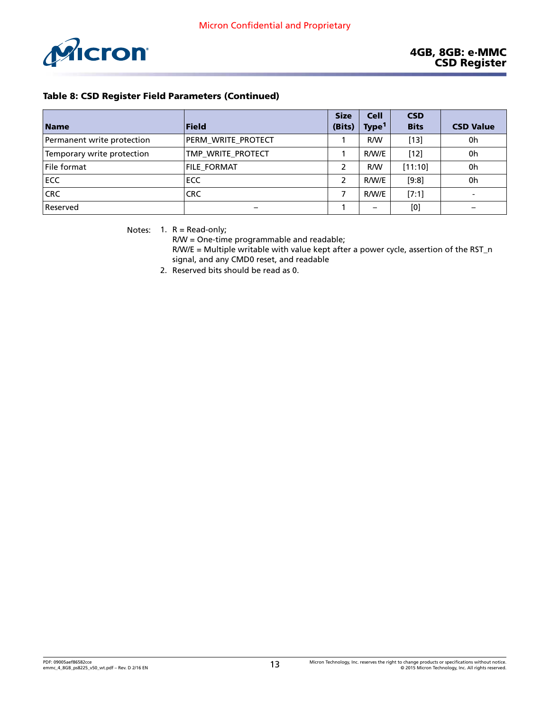<span id="page-12-0"></span>

| <b>Name</b>                | <b>Field</b>             | <b>Size</b><br>(Bits) | <b>Cell</b><br>Type <sup>1</sup> | <b>CSD</b><br><b>Bits</b> | <b>CSD Value</b> |
|----------------------------|--------------------------|-----------------------|----------------------------------|---------------------------|------------------|
|                            |                          |                       |                                  |                           |                  |
| Permanent write protection | PERM WRITE PROTECT       |                       | R/W                              | $[13]$                    | 0h               |
| Temporary write protection | TMP WRITE PROTECT        |                       | R/W/E                            | $[12]$                    | 0h               |
| File format                | <b>FILE_FORMAT</b>       | 2                     | R/W                              | [11:10]                   | 0h               |
| ECC                        | ECC                      | 2                     | R/W/E                            | [9:8]                     | 0h               |
| <b>CRC</b>                 | <b>CRC</b>               |                       | R/W/E                            | [7:1]                     |                  |
| Reserved                   | $\overline{\phantom{m}}$ |                       | $\overline{\phantom{0}}$         | [0]                       |                  |

Notes:  $1. R = Read-only;$ 

R/W = One-time programmable and readable;

R/W/E = Multiple writable with value kept after a power cycle, assertion of the RST\_n signal, and any CMD0 reset, and readable

2. Reserved bits should be read as 0.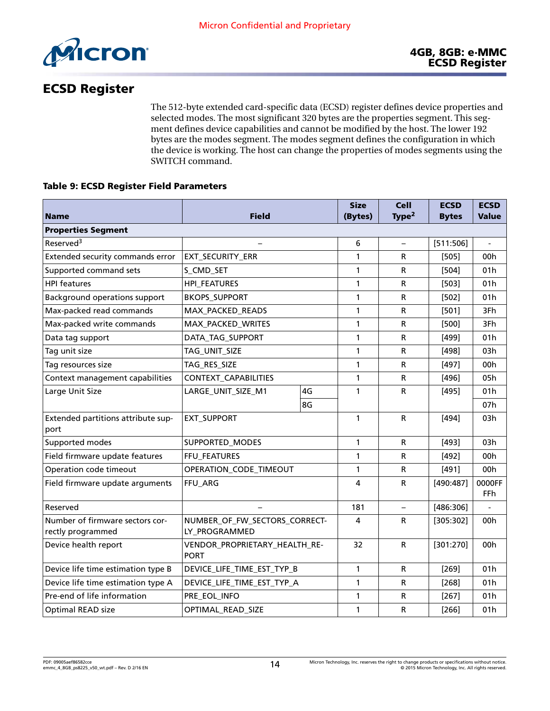

# ECSD Register

The 512-byte extended card-specific data (ECSD) register defines device properties and selected modes. The most significant 320 bytes are the properties segment. This segment defines device capabilities and cannot be modified by the host. The lower 192 bytes are the modes segment. The modes segment defines the configuration in which the device is working. The host can change the properties of modes segments using the SWITCH command.

#### Table 9: ECSD Register Field Parameters

|                                                      |                                                |    | <b>Size</b>  | <b>Cell</b>              | <b>ECSD</b>  | <b>ECSD</b>          |
|------------------------------------------------------|------------------------------------------------|----|--------------|--------------------------|--------------|----------------------|
| <b>Name</b>                                          | Field                                          |    | (Bytes)      | Type <sup>2</sup>        | <b>Bytes</b> | <b>Value</b>         |
| <b>Properties Segment</b>                            |                                                |    |              |                          |              |                      |
| Reserved <sup>3</sup>                                |                                                |    | 6            |                          | [511:506]    |                      |
| Extended security commands error                     | EXT_SECURITY_ERR                               |    | $\mathbf{1}$ | R                        | [505]        | 00h                  |
| Supported command sets                               | S_CMD_SET                                      |    | 1            | R                        | $[504]$      | 01 <sub>h</sub>      |
| <b>HPI</b> features                                  | <b>HPI_FEATURES</b>                            |    | 1            | R                        | $[503]$      | 01 <sub>h</sub>      |
| Background operations support                        | <b>BKOPS_SUPPORT</b>                           |    | 1            | R                        | $[502]$      | 01h                  |
| Max-packed read commands                             | MAX_PACKED_READS                               |    | 1            | R                        | $[501]$      | 3Fh                  |
| Max-packed write commands                            | MAX_PACKED_WRITES                              |    | $\mathbf{1}$ | R                        | $[500]$      | 3Fh                  |
| Data tag support                                     | DATA_TAG_SUPPORT                               |    | 1            | R                        | $[499]$      | 01h                  |
| Tag unit size                                        | TAG_UNIT_SIZE                                  |    | 1            | R                        | [498]        | 03h                  |
| Tag resources size                                   | TAG_RES_SIZE                                   |    | 1            | R                        | [497]        | 00 <sub>h</sub>      |
| Context management capabilities                      | CONTEXT_CAPABILITIES                           |    | 1            | R                        | [496]        | 05h                  |
| Large Unit Size                                      | LARGE_UNIT_SIZE_M1                             | 4G | 1            | R                        | [495]        | 01h                  |
|                                                      |                                                | 8G |              |                          |              | 07h                  |
| Extended partitions attribute sup-<br>port           | <b>EXT_SUPPORT</b>                             |    | 1            | R                        | $[494]$      | 03h                  |
| Supported modes                                      | SUPPORTED_MODES                                |    | 1            | R                        | [493]        | 03h                  |
| Field firmware update features                       | FFU_FEATURES                                   |    | 1            | R                        | $[492]$      | 00h                  |
| Operation code timeout                               | OPERATION_CODE_TIMEOUT                         |    | 1            | R                        | $[491]$      | 00h                  |
| Field firmware update arguments                      | FFU_ARG                                        |    | 4            | R                        | [490:487]    | 0000FF<br><b>FFh</b> |
| Reserved                                             |                                                |    | 181          | $\overline{\phantom{0}}$ | [486:306]    |                      |
| Number of firmware sectors cor-<br>rectly programmed | NUMBER OF FW SECTORS CORRECT-<br>LY_PROGRAMMED |    | 4            | R                        | [305:302]    | 00h                  |
| Device health report                                 | VENDOR_PROPRIETARY_HEALTH_RE-<br><b>PORT</b>   |    | 32           | R                        | [301:270]    | 00h                  |
| Device life time estimation type B                   | DEVICE_LIFE_TIME_EST_TYP_B                     |    | $\mathbf{1}$ | R                        | $[269]$      | 01h                  |
| Device life time estimation type A                   | DEVICE_LIFE_TIME_EST_TYP_A                     |    | 1            | R                        | $[268]$      | 01 <sub>h</sub>      |
| Pre-end of life information                          | PRE_EOL_INFO                                   |    | 1            | R                        | $[267]$      | 01h                  |
| <b>Optimal READ size</b>                             | OPTIMAL_READ_SIZE                              |    | 1            | R                        | $[266]$      | 01h                  |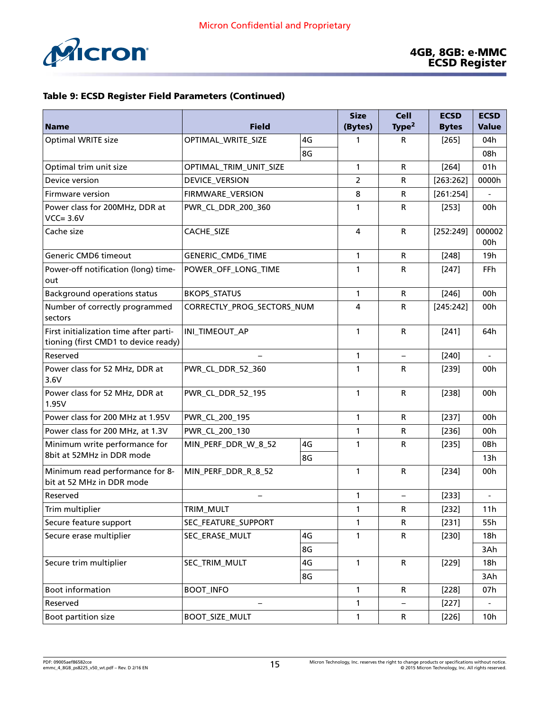

| <b>Name</b>                                                                    | <b>Field</b>               |    | <b>Size</b><br>(Bytes) | <b>Cell</b><br>Type <sup>2</sup> | <b>ECSD</b><br><b>Bytes</b> | <b>ECSD</b><br><b>Value</b> |
|--------------------------------------------------------------------------------|----------------------------|----|------------------------|----------------------------------|-----------------------------|-----------------------------|
| Optimal WRITE size                                                             | OPTIMAL_WRITE_SIZE         | 4G | 1                      | R                                |                             | 04h                         |
|                                                                                |                            | 8G |                        |                                  | $[265]$                     | 08h                         |
| Optimal trim unit size                                                         | OPTIMAL_TRIM_UNIT_SIZE     |    | 1                      | $\mathsf{R}$                     | $[264]$                     | 01h                         |
| Device version                                                                 | DEVICE_VERSION             |    | $\overline{2}$         | $\mathsf{R}$                     | [263:262]                   | 0000h                       |
| Firmware version                                                               | FIRMWARE_VERSION           |    | 8                      | R                                | [261:254]                   |                             |
| Power class for 200MHz, DDR at<br>$VCC = 3.6V$                                 | PWR_CL_DDR_200_360         |    | 1                      | R                                | $[253]$                     | 00h                         |
| Cache size                                                                     | CACHE_SIZE                 |    | $\overline{a}$         | $\mathsf{R}$                     | [252:249]                   | 000002<br>00h               |
| Generic CMD6 timeout                                                           | GENERIC_CMD6_TIME          |    | $\mathbf{1}$           | $\mathsf{R}$                     | $[248]$                     | 19 <sub>h</sub>             |
| Power-off notification (long) time-<br>out                                     | POWER_OFF_LONG_TIME        |    | 1                      | R                                | $[247]$                     | <b>FFh</b>                  |
| <b>Background operations status</b>                                            | <b>BKOPS_STATUS</b>        |    | $\mathbf{1}$           | $\mathsf{R}$                     | $[246]$                     | 00h                         |
| Number of correctly programmed<br>sectors                                      | CORRECTLY_PROG_SECTORS_NUM |    | 4                      | $\mathsf{R}$                     | [245:242]                   | 00h                         |
| First initialization time after parti-<br>tioning (first CMD1 to device ready) | INI_TIMEOUT_AP             |    | 1                      | $\mathsf{R}$                     | [241]                       | 64h                         |
| Reserved                                                                       |                            |    | 1                      | $\qquad \qquad -$                | $[240]$                     | $\overline{a}$              |
| Power class for 52 MHz, DDR at<br>3.6V                                         | PWR_CL_DDR_52_360          |    | 1                      | $\mathsf{R}$                     | $[239]$                     | 00h                         |
| Power class for 52 MHz, DDR at<br>1.95V                                        | PWR_CL_DDR_52_195          |    | $\mathbf{1}$           | $\mathsf{R}$                     | $[238]$                     | 00h                         |
| Power class for 200 MHz at 1.95V                                               | PWR_CL_200_195             |    | 1                      | $\mathsf{R}$                     | [237]                       | 00h                         |
| Power class for 200 MHz, at 1.3V                                               | PWR_CL_200_130             |    | 1                      | R                                | $[236]$                     | 00h                         |
| Minimum write performance for                                                  | MIN_PERF_DDR_W_8_52        | 4G | 1                      | $\mathsf{R}$                     | $[235]$                     | 0Bh                         |
| 8bit at 52MHz in DDR mode                                                      |                            | 8G |                        |                                  |                             | 13h                         |
| Minimum read performance for 8-<br>bit at 52 MHz in DDR mode                   | MIN_PERF_DDR_R_8_52        |    | 1                      | $\mathsf{R}$                     | $[234]$                     | 00h                         |
| Reserved                                                                       |                            |    | 1                      | $\qquad \qquad -$                | [233]                       |                             |
| Trim multiplier                                                                | TRIM MULT                  |    | $\mathbf{1}$           | R                                | $[232]$                     | 11h                         |
| Secure feature support                                                         | SEC_FEATURE_SUPPORT        |    | 1                      | R                                | $[231]$                     | 55h                         |
| Secure erase multiplier                                                        | SEC_ERASE_MULT             | 4G | $\mathbf{1}$           | $\mathsf R$                      | [230]                       | 18h                         |
|                                                                                |                            | 8G |                        |                                  |                             | 3Ah                         |
| Secure trim multiplier                                                         | SEC_TRIM_MULT              | 4G | $\mathbf{1}$           | ${\sf R}$                        | $[229]$                     | 18h                         |
|                                                                                |                            | 8G |                        |                                  |                             | 3Ah                         |
| <b>Boot information</b>                                                        | <b>BOOT_INFO</b>           |    | $\mathbf{1}$           | $\mathsf{R}$                     | [228]                       | 07h                         |
| Reserved                                                                       |                            |    | 1                      |                                  | [227]                       |                             |
| Boot partition size                                                            | <b>BOOT_SIZE_MULT</b>      |    | $\mathbf{1}$           | R                                | [226]                       | 10h                         |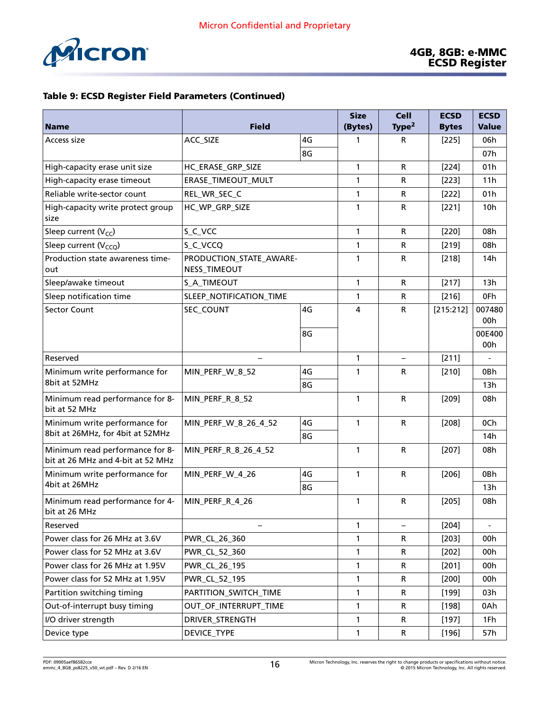

|                                                                      |                                         | <b>Size</b> | <b>Cell</b>               | <b>ECSD</b>       | <b>ECSD</b>  |                 |
|----------------------------------------------------------------------|-----------------------------------------|-------------|---------------------------|-------------------|--------------|-----------------|
| <b>Name</b>                                                          | <b>Field</b>                            |             | (Bytes)                   | Type <sup>2</sup> | <b>Bytes</b> | <b>Value</b>    |
| Access size                                                          | ACC_SIZE                                | 4G          | 1                         | R                 | $[225]$      | 06h             |
|                                                                      |                                         | 8G          |                           |                   |              | 07h             |
| High-capacity erase unit size                                        | HC_ERASE_GRP_SIZE                       |             | 1                         | $\mathsf{R}$      | $[224]$      | 01h             |
| High-capacity erase timeout                                          | ERASE_TIMEOUT_MULT                      |             | 1                         | R                 | $[223]$      | 11h             |
| Reliable write-sector count                                          | REL_WR_SEC_C                            |             | 1                         | R                 | $[222]$      | 01h             |
| High-capacity write protect group<br>size                            | HC_WP_GRP_SIZE                          |             | 1                         | R                 | [221]        | 10 <sub>h</sub> |
| Sleep current $(V_{CC})$                                             | S_C_VCC                                 |             | $\mathbf{1}$              | $\mathsf{R}$      | $[220]$      | 08h             |
| Sleep current $(V_{CCO})$                                            | S_C_VCCQ                                |             | 1                         | $\mathsf R$       | $[219]$      | 08h             |
| Production state awareness time-<br>out                              | PRODUCTION_STATE_AWARE-<br>NESS_TIMEOUT |             | 1                         | $\mathsf R$       | $[218]$      | 14h             |
| Sleep/awake timeout                                                  | S_A_TIMEOUT                             |             |                           | ${\sf R}$         | [217]        | 13h             |
| Sleep notification time                                              | SLEEP_NOTIFICATION_TIME                 |             | 1                         | $\mathsf R$       | $[216]$      | 0Fh             |
| <b>Sector Count</b>                                                  | SEC_COUNT                               | 4G          | 4                         | ${\sf R}$         | [215:212]    | 007480<br>00h   |
|                                                                      |                                         | 8G          |                           |                   |              | 00E400<br>00h   |
| Reserved                                                             |                                         |             | $\mathbf{1}$              |                   | [211]        |                 |
| Minimum write performance for                                        | MIN_PERF_W_8_52                         | 4G          | 1                         | $\mathsf R$       | $[210]$      | 0Bh             |
| 8bit at 52MHz                                                        |                                         | 8G          |                           |                   |              | 13h             |
| Minimum read performance for 8-<br>bit at 52 MHz                     | MIN_PERF_R_8_52                         |             | $\mathbf{1}$              | ${\sf R}$         | $[209]$      | 08h             |
| Minimum write performance for                                        | MIN_PERF_W_8_26_4_52                    | 4G          | $\mathbf{1}$<br>${\sf R}$ | $[208]$           | 0Ch          |                 |
| 8bit at 26MHz, for 4bit at 52MHz                                     |                                         | 8G          |                           |                   |              | 14 <sub>h</sub> |
| Minimum read performance for 8-<br>bit at 26 MHz and 4-bit at 52 MHz | MIN_PERF_R_8_26_4_52                    |             | $\mathbf{1}$              | ${\sf R}$         | $[207]$      | 08h             |
| Minimum write performance for                                        | MIN_PERF_W_4_26                         | 4G          | $\mathbf{1}$              | ${\sf R}$         | $[206]$      | 0Bh             |
| 4bit at 26MHz                                                        |                                         | 8G          |                           |                   |              | 13h             |
| Minimum read performance for 4-<br>bit at 26 MHz                     | MIN_PERF_R_4_26                         |             | 1                         | $\mathsf R$       | $[205]$      | 08h             |
| Reserved                                                             |                                         |             | $\mathbf{1}$              |                   | $[204]$      |                 |
| Power class for 26 MHz at 3.6V                                       | PWR_CL_26_360                           |             | 1                         | R                 | $[203]$      | 00h             |
| Power class for 52 MHz at 3.6V                                       | PWR_CL_52_360                           |             | 1                         | $\mathsf R$       | $[202]$      | 00h             |
| Power class for 26 MHz at 1.95V                                      | PWR_CL_26_195                           |             | 1                         | R                 | [201]        | 00h             |
| Power class for 52 MHz at 1.95V                                      | PWR_CL_52_195                           |             | 1                         | $\mathsf R$       | $[200]$      | 00h             |
| Partition switching timing                                           | PARTITION_SWITCH_TIME                   |             | 1                         | R                 | $[199]$      | 03h             |
| Out-of-interrupt busy timing                                         | OUT_OF_INTERRUPT_TIME                   |             | 1                         | $\mathsf R$       | [198]        | 0Ah             |
| I/O driver strength                                                  | DRIVER_STRENGTH                         |             | 1                         | R                 | $[197]$      | 1Fh             |
| Device type                                                          | DEVICE_TYPE                             |             | 1                         | $\mathsf R$       | [196]        | 57h             |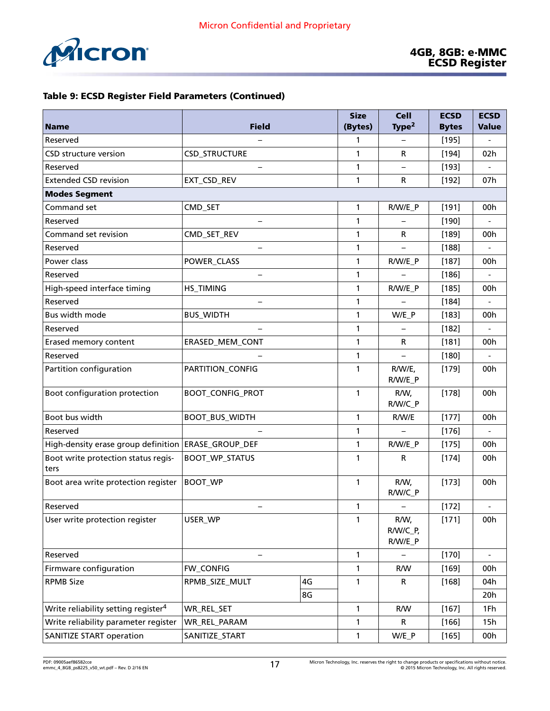|                                                 |                          |              |                             | <b>Cell</b>       | <b>ECSD</b>  | <b>ECSD</b> |
|-------------------------------------------------|--------------------------|--------------|-----------------------------|-------------------|--------------|-------------|
| <b>Name</b>                                     | <b>Field</b>             | (Bytes)      | Type <sup>2</sup>           | <b>Bytes</b>      | <b>Value</b> |             |
| Reserved                                        |                          | 1            |                             | [195]             |              |             |
| <b>CSD structure version</b>                    | CSD_STRUCTURE            |              | 1                           | R                 | $[194]$      | 02h         |
| Reserved                                        | $\overline{\phantom{0}}$ |              | 1                           | $\qquad \qquad -$ | $[193]$      |             |
| <b>Extended CSD revision</b>                    | EXT_CSD_REV              |              | 1                           | R                 | $[192]$      | 07h         |
| <b>Modes Segment</b>                            |                          |              |                             |                   |              |             |
| Command set                                     | CMD_SET                  |              | $\mathbf{1}$                | R/W/E_P           | [191]        | 00h         |
| Reserved                                        | $\overline{\phantom{0}}$ |              | 1                           |                   | [190]        |             |
| Command set revision                            | CMD_SET_REV              |              | 1                           | R                 | [189]        | 00h         |
| Reserved                                        | $\overline{\phantom{0}}$ |              | 1                           |                   | $[188]$      |             |
| Power class                                     | POWER_CLASS              |              | 1                           | R/W/E_P           | [187]        | 00h         |
| Reserved                                        | $\overline{\phantom{0}}$ |              | 1                           |                   | $[186]$      |             |
| High-speed interface timing                     | HS_TIMING                |              | 1                           | R/W/E_P           | [185]        | 00h         |
| Reserved                                        | $\overline{\phantom{0}}$ |              | 1                           |                   | $[184]$      |             |
| Bus width mode                                  | <b>BUS_WIDTH</b>         |              | 1                           | W/E_P             | $[183]$      | 00h         |
| Reserved                                        |                          | 1            |                             | $[182]$           |              |             |
| Erased memory content                           | ERASED_MEM_CONT          | 1            | R                           | $[181]$           | 00h          |             |
| Reserved                                        |                          | 1            |                             | $[180]$           |              |             |
| Partition configuration                         | PARTITION_CONFIG         | 1            | R/W/E,<br>R/W/E_P           | $[179]$           | 00h          |             |
| Boot configuration protection                   | <b>BOOT_CONFIG_PROT</b>  | $\mathbf{1}$ | R/W,<br>R/W/C_P             | $[178]$           | 00h          |             |
| Boot bus width                                  | BOOT_BUS_WIDTH           | 1            | R/W/E                       | $[177]$           | 00h          |             |
| Reserved                                        |                          |              | $\mathbf{1}$                |                   | $[176]$      |             |
| High-density erase group definition             | <b>ERASE_GROUP_DEF</b>   | $\mathbf{1}$ | R/W/E_P                     | [175]             | 00h          |             |
| Boot write protection status regis-<br>ters     | <b>BOOT_WP_STATUS</b>    | 1            | $\mathsf{R}$                | $[174]$           | 00h          |             |
| Boot area write protection register             | <b>BOOT_WP</b>           | 1            | R/W,<br>R/W/C_P             | $[173]$           | 00h          |             |
| Reserved                                        |                          | 1            |                             | $[172]$           |              |             |
| User write protection register                  | USER_WP                  | 1            | R/W,<br>R/W/C_P,<br>R/W/E_P | $[171]$           | 00h          |             |
| Reserved                                        | $\overline{\phantom{0}}$ | $\mathbf{1}$ |                             | $[170]$           |              |             |
| Firmware configuration                          | FW_CONFIG                | $\mathbf{1}$ | R/W                         | $[169]$           | 00h          |             |
| <b>RPMB Size</b>                                | RPMB_SIZE_MULT           | $\mathbf{1}$ | R                           | [168]             | 04h          |             |
|                                                 |                          |              |                             |                   | 20h          |             |
| Write reliability setting register <sup>4</sup> | WR_REL_SET               | $\mathbf{1}$ | R/W                         | [167]             | 1Fh          |             |
| Write reliability parameter register            | WR_REL_PARAM             |              | $\mathbf{1}$                | R                 | $[166]$      | 15h         |
| <b>SANITIZE START operation</b>                 | SANITIZE_START           | 1            | W/E_P                       | [165]             | 00h          |             |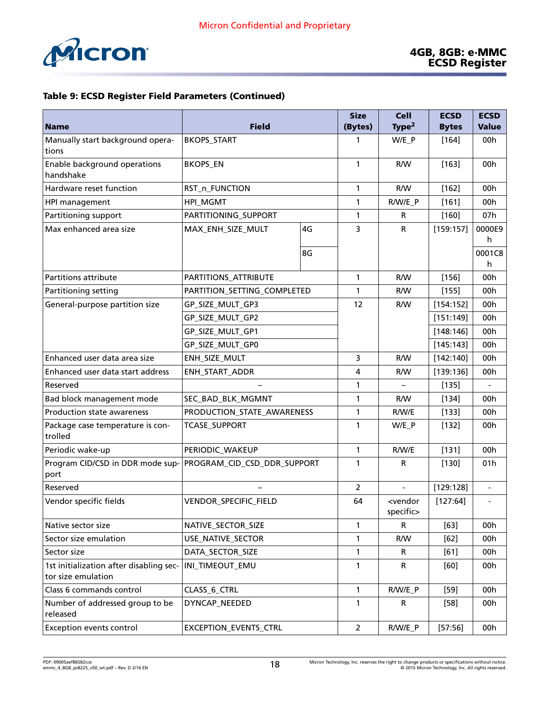

|                                                               |                             |                | <b>Size</b>       | <b>Cell</b>                         | <b>ECSD</b>  | <b>ECSD</b>              |
|---------------------------------------------------------------|-----------------------------|----------------|-------------------|-------------------------------------|--------------|--------------------------|
| <b>Name</b>                                                   | <b>Field</b>                | (Bytes)        | Type <sup>2</sup> | <b>Bytes</b>                        | <b>Value</b> |                          |
| Manually start background opera-<br>tions                     | <b>BKOPS_START</b>          | 1              | W/E_P             | $[164]$                             | 00h          |                          |
| Enable background operations<br>handshake                     | <b>BKOPS_EN</b>             | 1              | R/W               | $[163]$                             | 00h          |                          |
| Hardware reset function                                       | RST_n_FUNCTION              |                | 1                 | R/W                                 | $[162]$      | 00h                      |
| HPI management                                                | HPI_MGMT                    |                | 1                 | R/W/E_P                             | [161]        | 00h                      |
| Partitioning support                                          | PARTITIONING_SUPPORT        |                | 1                 | R                                   | $[160]$      | 07h                      |
| Max enhanced area size                                        | MAX_ENH_SIZE_MULT           | 4G             | 3                 | $\mathsf{R}$                        | [159:157]    | 0000E9                   |
|                                                               |                             |                |                   |                                     |              | h                        |
|                                                               |                             | 8G             |                   |                                     |              | 0001C8<br>h              |
| Partitions attribute                                          | PARTITIONS_ATTRIBUTE        |                | $\mathbf{1}$      | R/W                                 | $[156]$      | 00h                      |
| Partitioning setting                                          | PARTITION_SETTING_COMPLETED |                | 1                 | R/W                                 | $[155]$      | 00h                      |
| General-purpose partition size                                | GP_SIZE_MULT_GP3            |                | 12                | R/W                                 | [154:152]    | 00h                      |
|                                                               | GP_SIZE_MULT_GP2            |                |                   |                                     | [151:149]    | 00h                      |
|                                                               | GP_SIZE_MULT_GP1            |                |                   |                                     | [148:146]    | 00h                      |
|                                                               | GP_SIZE_MULT_GP0            |                |                   | [145:143]                           | 00h          |                          |
| Enhanced user data area size                                  | ENH_SIZE_MULT               | 3              | R/W               | [142:140]                           | 00h          |                          |
| Enhanced user data start address                              | ENH_START_ADDR              | 4              | R/W               | [139:136]                           | 00h          |                          |
| Reserved                                                      |                             | 1              |                   | [135]                               |              |                          |
| Bad block management mode                                     | SEC_BAD_BLK_MGMNT           | 1              | R/W               | $[134]$                             | 00h          |                          |
| Production state awareness                                    | PRODUCTION_STATE_AWARENESS  | $\mathbf{1}$   | R/W/E             | [133]                               | 00h          |                          |
| Package case temperature is con-<br>trolled                   | <b>TCASE_SUPPORT</b>        |                | 1                 | W/E P                               | $[132]$      | 00h                      |
| Periodic wake-up                                              | PERIODIC_WAKEUP             | $\mathbf{1}$   | R/W/E             | [131]                               | 00h          |                          |
| Program CID/CSD in DDR mode sup-<br>port                      | PROGRAM_CID_CSD_DDR_SUPPORT |                | 1                 | R                                   | [130]        | 01 <sub>h</sub>          |
| Reserved                                                      |                             |                | 2                 |                                     | [129:128]    |                          |
| Vendor specific fields                                        | VENDOR_SPECIFIC_FIELD       |                | 64                | <vendor<br>specific&gt;</vendor<br> | [127:64]     | $\overline{\phantom{a}}$ |
| Native sector size                                            | NATIVE_SECTOR_SIZE          | $\mathbf{1}$   | R                 | $[63]$                              | 00h          |                          |
| Sector size emulation                                         | USE_NATIVE_SECTOR           | 1              | R/W               | $[62]$                              | 00h          |                          |
| Sector size                                                   | DATA_SECTOR_SIZE            |                | $\mathbf{1}$      | R                                   | $[61]$       | 00h                      |
| 1st initialization after disabling sec-<br>tor size emulation | INI_TIMEOUT_EMU             |                | $\mathbf{1}$      | R                                   | [60]         | 00h                      |
| Class 6 commands control                                      | CLASS_6_CTRL                | $\mathbf{1}$   | R/W/E_P           | $[59]$                              | 00h          |                          |
| Number of addressed group to be<br>released                   | DYNCAP_NEEDED               |                | $\mathbf{1}$      | R                                   | $[58]$       | 00h                      |
| <b>Exception events control</b>                               | EXCEPTION_EVENTS_CTRL       | $\overline{2}$ | R/W/E_P           | [57:56]                             | 00h          |                          |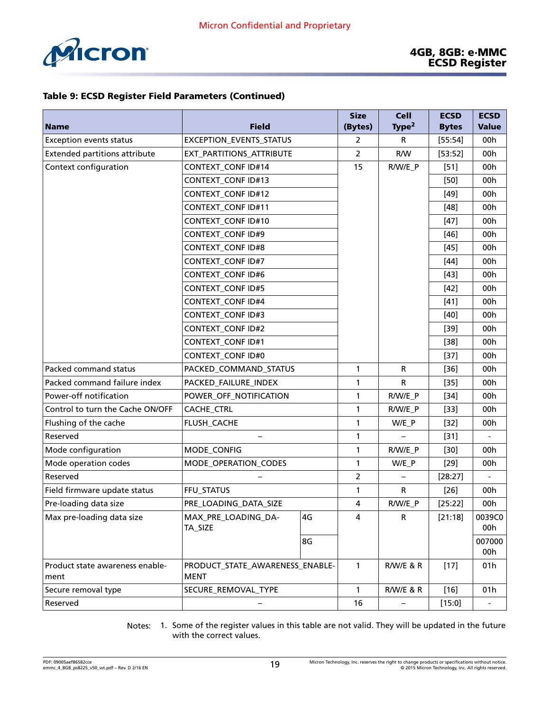

| <b>Name</b>                             | <b>Field</b>                                   | <b>Size</b><br>(Bytes)  | <b>Cell</b><br>Type $2$ | <b>ECSD</b><br><b>Bytes</b> | <b>ECSD</b><br><b>Value</b> |                          |
|-----------------------------------------|------------------------------------------------|-------------------------|-------------------------|-----------------------------|-----------------------------|--------------------------|
| <b>Exception events status</b>          | EXCEPTION_EVENTS_STATUS                        | 2                       | R                       | [55:54]                     | 00h                         |                          |
| <b>Extended partitions attribute</b>    | EXT_PARTITIONS_ATTRIBUTE                       | $\overline{2}$          | R/W                     | [53:52]                     | 00h                         |                          |
| Context configuration                   | <b>CONTEXT_CONF ID#14</b>                      | 15                      | R/W/E_P                 | $[51]$                      | 00h                         |                          |
|                                         | <b>CONTEXT_CONF ID#13</b>                      |                         |                         |                             | $[50]$                      | 00h                      |
|                                         | <b>CONTEXT_CONF ID#12</b>                      |                         |                         |                             | $[49]$                      | 00h                      |
|                                         | <b>CONTEXT_CONF ID#11</b>                      |                         |                         |                             | $[48]$                      | 00h                      |
|                                         | <b>CONTEXT_CONF ID#10</b>                      |                         |                         |                             | $[47]$                      | 00h                      |
|                                         | <b>CONTEXT_CONF ID#9</b>                       |                         |                         |                             | $[46]$                      | 00h                      |
|                                         | <b>CONTEXT_CONF ID#8</b>                       |                         |                         |                             | $[45]$                      | 00h                      |
|                                         | <b>CONTEXT_CONF ID#7</b>                       |                         |                         |                             | $[44]$                      | 00h                      |
|                                         | <b>CONTEXT_CONF ID#6</b>                       |                         |                         |                             | $[43]$                      | 00h                      |
|                                         | <b>CONTEXT_CONF ID#5</b>                       |                         |                         |                             | $[42]$                      | 00h                      |
|                                         | <b>CONTEXT_CONF ID#4</b>                       |                         |                         |                             | $[41]$                      | 00h                      |
|                                         | <b>CONTEXT_CONF ID#3</b>                       |                         |                         |                             | $[40]$                      | 00h                      |
|                                         | <b>CONTEXT_CONF ID#2</b>                       |                         |                         |                             | $[39]$                      | 00h                      |
|                                         | <b>CONTEXT_CONF ID#1</b>                       |                         |                         |                             | $[38]$                      | 00h                      |
|                                         | CONTEXT_CONF ID#0                              |                         |                         | $[37]$                      | 00h                         |                          |
| Packed command status                   | PACKED_COMMAND_STATUS                          |                         | 1                       | R                           | $[36]$                      | 00h                      |
| Packed command failure index            | PACKED_FAILURE_INDEX                           | 1                       | R.                      | $[35]$                      | 00h                         |                          |
| Power-off notification                  | POWER_OFF_NOTIFICATION                         | 1                       | R/W/E_P                 | $[34]$                      | 00h                         |                          |
| Control to turn the Cache ON/OFF        | CACHE_CTRL                                     | 1                       | R/W/E_P                 | $[33]$                      | 00h                         |                          |
| Flushing of the cache                   | FLUSH_CACHE                                    | 1                       | $W/E_P$                 | $[32]$                      | 00h                         |                          |
| Reserved                                | $\overline{\phantom{m}}$                       |                         | 1                       |                             | $[31]$                      | $\overline{\phantom{a}}$ |
| Mode configuration                      | MODE_CONFIG                                    |                         | 1                       | R/W/E_P                     | $[30]$                      | 00h                      |
| Mode operation codes                    | MODE_OPERATION_CODES                           | 1                       | W/E_P                   | $[29]$                      | 00h                         |                          |
| Reserved                                |                                                | $\overline{2}$          |                         | [28:27]                     |                             |                          |
| Field firmware update status            | FFU_STATUS                                     | 1                       | R                       | $[26]$                      | 00h                         |                          |
| Pre-loading data size                   | PRE_LOADING_DATA_SIZE                          | $\overline{\mathbf{4}}$ | R/W/E_P                 | [25:22]                     | 00h                         |                          |
| Max pre-loading data size               | MAX_PRE_LOADING_DA-                            | 4G                      | 4                       | R                           | [21:18]                     | 0039C0                   |
|                                         | TA_SIZE                                        |                         |                         |                             |                             | 00h                      |
|                                         |                                                | 8G                      |                         |                             |                             | 007000<br>00h            |
| Product state awareness enable-<br>ment | PRODUCT_STATE_AWARENESS_ENABLE-<br><b>MENT</b> | $\mathbf{1}$            | R/W/E & R               | $[17]$                      | 01h                         |                          |
| Secure removal type                     | SECURE_REMOVAL_TYPE                            |                         | $\mathbf{1}$            | R/W/E & R                   | $[16]$                      | 01h                      |
| Reserved                                |                                                |                         | 16                      |                             | [15:0]                      | $\overline{\phantom{a}}$ |
|                                         |                                                |                         |                         |                             |                             |                          |

Notes: 1. Some of the register values in this table are not valid. They will be updated in the future with the correct values.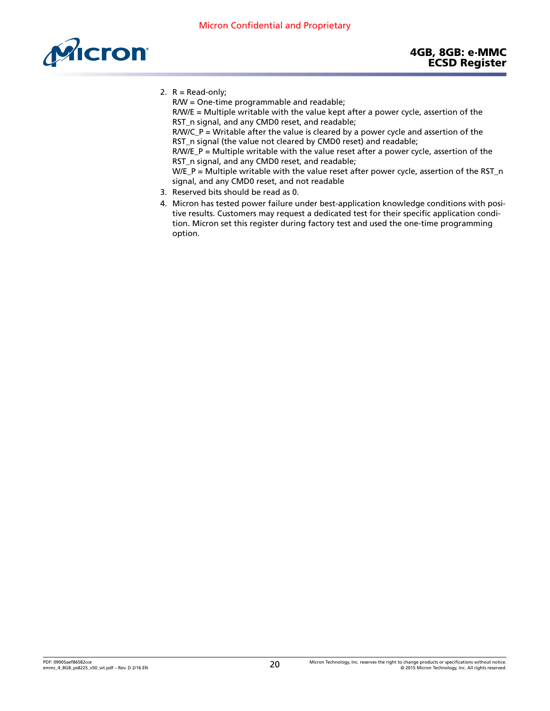<span id="page-19-0"></span>

2.  $R = Read-only;$ 

R/W = One-time programmable and readable;

R/W/E = Multiple writable with the value kept after a power cycle, assertion of the RST\_n signal, and any CMD0 reset, and readable;

R/W/C\_P = Writable after the value is cleared by a power cycle and assertion of the RST\_n signal (the value not cleared by CMD0 reset) and readable;

 $R/W/E_P$  = Multiple writable with the value reset after a power cycle, assertion of the RST\_n signal, and any CMD0 reset, and readable;

 $W/E_P$  = Multiple writable with the value reset after power cycle, assertion of the RST\_n signal, and any CMD0 reset, and not readable

- 3. Reserved bits should be read as 0.
- 4. Micron has tested power failure under best-application knowledge conditions with positive results. Customers may request a dedicated test for their specific application condition. Micron set this register during factory test and used the one-time programming option.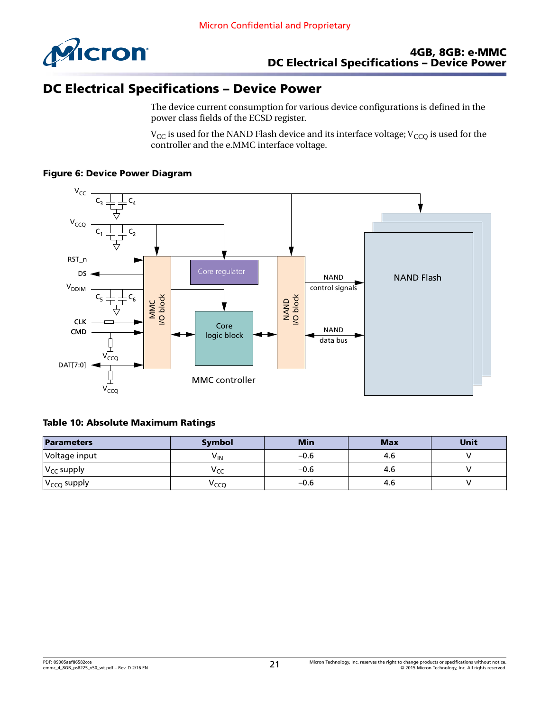

# DC Electrical Specifications – Device Power

The device current consumption for various device configurations is defined in the power class fields of the ECSD register.

 $\rm V_{CC}$  is used for the NAND Flash device and its interface voltage;  $\rm V_{CCQ}$  is used for the controller and the e.MMC interface voltage.

#### Figure 6: Device Power Diagram



#### Table 10: Absolute Maximum Ratings

| <b>Parameters</b> | <b>Symbol</b>   | <b>Min</b> | <b>Max</b> | Unit |
|-------------------|-----------------|------------|------------|------|
| Voltage input     | V <sub>IN</sub> | $-0.6$     | 4.6        |      |
| $ V_{CC}$ supply  | v сс            | $-0.6$     | 4.6        |      |
| $ V_{CCQ}$ supply | Ѵссо            | $-0.6$     | 4.6        |      |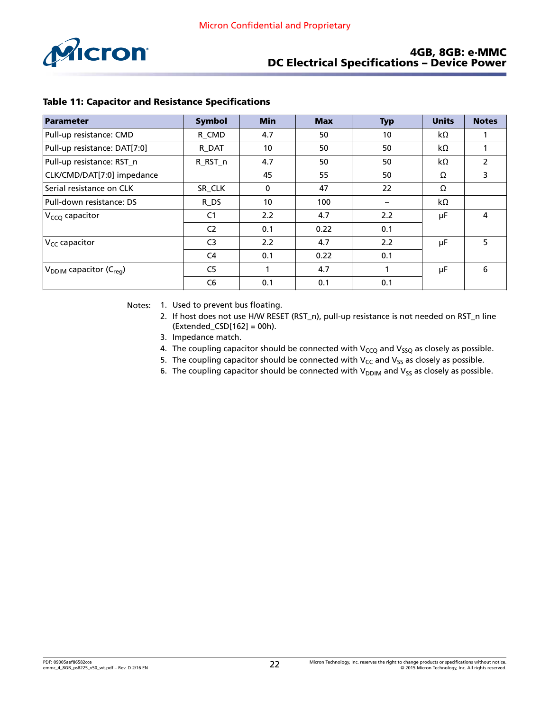

#### 4GB, 8GB: e·MMC DC Electrical Specifications – Device Power

| Parameter                          | <b>Symbol</b>  | <b>Min</b> | <b>Max</b> | <b>Typ</b> | <b>Units</b> | <b>Notes</b>   |
|------------------------------------|----------------|------------|------------|------------|--------------|----------------|
| Pull-up resistance: CMD            | R CMD          | 4.7        | 50         | 10         | kΩ           |                |
| Pull-up resistance: DAT[7:0]       | R DAT          | 10         | 50         | 50         | kΩ           |                |
| Pull-up resistance: RST_n          | R_RST_n        | 4.7        | 50         | 50         | kΩ           | $\overline{2}$ |
| CLK/CMD/DAT[7:0] impedance         |                | 45         | 55         | 50         | Ω            | 3              |
| Serial resistance on CLK           | SR CLK         | 0          | 47         | 22         | Ω            |                |
| Pull-down resistance: DS           | R DS           | 10         | 100        |            | $k\Omega$    |                |
| V <sub>CCQ</sub> capacitor         | C <sub>1</sub> | 2.2        | 4.7        | 2.2        | μF           | 4              |
|                                    | C <sub>2</sub> | 0.1        | 0.22       | 0.1        |              |                |
| $V_{CC}$ capacitor                 | C <sub>3</sub> | 2.2        | 4.7        | 2.2        | μF           | 5              |
|                                    | C <sub>4</sub> | 0.1        | 0.22       | 0.1        |              |                |
| $V_{DDIM}$ capacitor ( $C_{rea}$ ) | C <sub>5</sub> |            | 4.7        |            | μF           | 6              |
|                                    | C <sub>6</sub> | 0.1        | 0.1        | 0.1        |              |                |

#### Table 11: Capacitor and Resistance Specifications

Notes: 1. Used to prevent bus floating.

- 2. If host does not use H/W RESET (RST\_n), pull-up resistance is not needed on RST\_n line (Extended\_CSD[162] = 00h).
- 3. Impedance match.
- 4. The coupling capacitor should be connected with  $V_{CCQ}$  and  $V_{SSQ}$  as closely as possible.
- 5. The coupling capacitor should be connected with  $V_{CC}$  and  $V_{SS}$  as closely as possible.
- 6. The coupling capacitor should be connected with  $V_{DDIM}$  and  $V_{SS}$  as closely as possible.